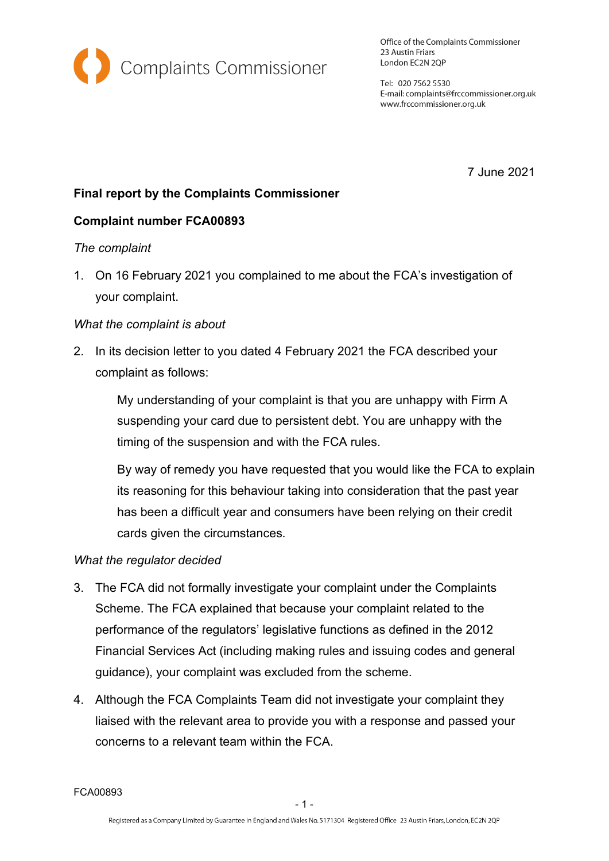

Office of the Complaints Commissioner 23 Austin Friars London EC2N 2QP

Tel: 020 7562 5530 E-mail: complaints@frccommissioner.org.uk www.frccommissioner.org.uk

7 June 2021

# **Final report by the Complaints Commissioner**

# **Complaint number FCA00893**

### *The complaint*

1. On 16 February 2021 you complained to me about the FCA's investigation of your complaint.

### *What the complaint is about*

2. In its decision letter to you dated 4 February 2021 the FCA described your complaint as follows:

> My understanding of your complaint is that you are unhappy with Firm A suspending your card due to persistent debt. You are unhappy with the timing of the suspension and with the FCA rules.

By way of remedy you have requested that you would like the FCA to explain its reasoning for this behaviour taking into consideration that the past year has been a difficult year and consumers have been relying on their credit cards given the circumstances.

### *What the regulator decided*

- 3. The FCA did not formally investigate your complaint under the Complaints Scheme. The FCA explained that because your complaint related to the performance of the regulators' legislative functions as defined in the 2012 Financial Services Act (including making rules and issuing codes and general guidance), your complaint was excluded from the scheme.
- 4. Although the FCA Complaints Team did not investigate your complaint they liaised with the relevant area to provide you with a response and passed your concerns to a relevant team within the FCA.

FCA00893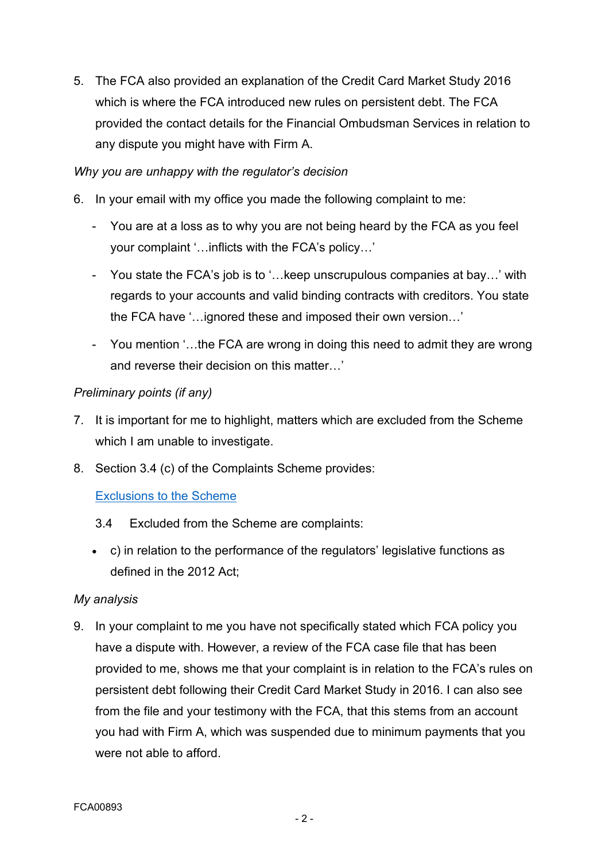5. The FCA also provided an explanation of the Credit Card Market Study 2016 which is where the FCA introduced new rules on persistent debt. The FCA provided the contact details for the Financial Ombudsman Services in relation to any dispute you might have with Firm A.

### *Why you are unhappy with the regulator's decision*

- 6. In your email with my office you made the following complaint to me:
	- You are at a loss as to why you are not being heard by the FCA as you feel your complaint '…inflicts with the FCA's policy…'
	- You state the FCA's job is to '…keep unscrupulous companies at bay…' with regards to your accounts and valid binding contracts with creditors. You state the FCA have '…ignored these and imposed their own version…'
	- You mention '…the FCA are wrong in doing this need to admit they are wrong and reverse their decision on this matter…'

### *Preliminary points (if any)*

- 7. It is important for me to highlight, matters which are excluded from the Scheme which I am unable to investigate.
- 8. Section 3.4 (c) of the Complaints Scheme provides:

# [Exclusions](https://frccommissioner.org.uk/complaints-scheme/) to the Scheme

- 3.4 Excluded from the Scheme are complaints:
- c) in relation to the performance of the regulators' legislative functions as defined in the 2012 Act;

### *My analysis*

9. In your complaint to me you have not specifically stated which FCA policy you have a dispute with. However, a review of the FCA case file that has been provided to me, shows me that your complaint is in relation to the FCA's rules on persistent debt following their Credit Card Market Study in 2016. I can also see from the file and your testimony with the FCA, that this stems from an account you had with Firm A, which was suspended due to minimum payments that you were not able to afford.